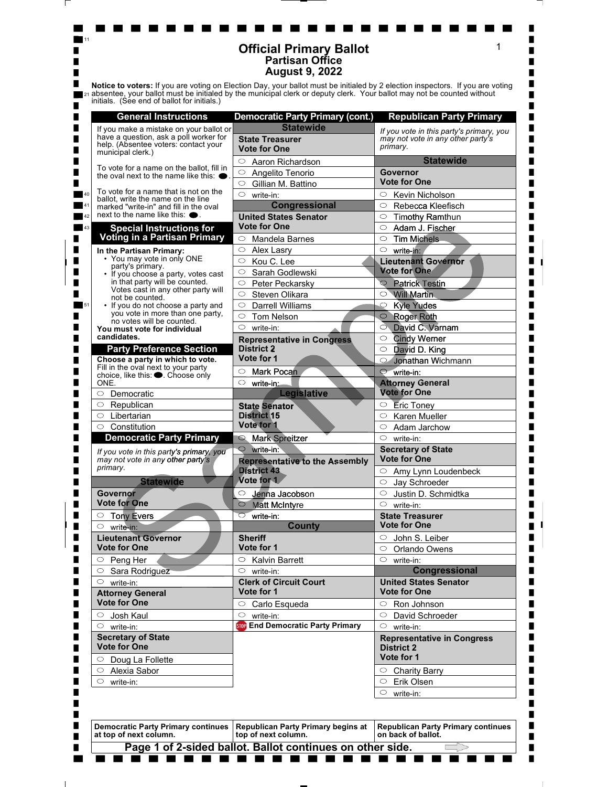|                                                                                             | <b>Official Primary Ballot</b><br><b>Partisan Office</b><br><b>August 9, 2022</b>                                                                                                                                                                        |                                                                 |
|---------------------------------------------------------------------------------------------|----------------------------------------------------------------------------------------------------------------------------------------------------------------------------------------------------------------------------------------------------------|-----------------------------------------------------------------|
| initials. (See end of ballot for initials.)                                                 | Notice to voters: If you are voting on Election Day, your ballot must be initialed by 2 election inspectors. If you are voting<br>absentee, your ballot must be initialed by the municipal clerk or deputy clerk. Your ballot may not be counted without |                                                                 |
| <b>General Instructions</b>                                                                 | <b>Democratic Party Primary (cont.)</b>                                                                                                                                                                                                                  | <b>Republican Party Primary</b>                                 |
| If you make a mistake on your ballot or                                                     | <b>Statewide</b>                                                                                                                                                                                                                                         | If you vote in this party's primary, you                        |
| have a question, ask a poll worker for<br>help. (Absentee voters: contact your              | <b>State Treasurer</b><br><b>Vote for One</b>                                                                                                                                                                                                            | may not vote in any other party's<br>primary.                   |
| municipal clerk.)                                                                           | Aaron Richardson<br>$\circ$                                                                                                                                                                                                                              | <b>Statewide</b>                                                |
| To vote for a name on the ballot, fill in<br>the oval next to the name like this: $\bullet$ | $\circ$<br>Angelito Tenorio                                                                                                                                                                                                                              | Governor                                                        |
|                                                                                             | Gillian M. Battino<br>$\circ$                                                                                                                                                                                                                            | <b>Vote for One</b>                                             |
| To vote for a name that is not on the<br>ballot, write the name on the line                 | $\circ$<br>write-in:                                                                                                                                                                                                                                     | Kevin Nicholson<br>$\circ$                                      |
| marked "write-in" and fill in the oval<br>next to the name like this: $\bullet$ .           | Congressional                                                                                                                                                                                                                                            | Rebecca Kleefisch<br>$\circ$<br>$\circ$                         |
| <b>Special Instructions for</b>                                                             | <b>United States Senator</b><br><b>Vote for One</b>                                                                                                                                                                                                      | Timothy Ramthun<br>Adam J. Fischer<br>$\circ$                   |
| <b>Voting in a Partisan Primary</b>                                                         | $\circ$ Mandela Barnes                                                                                                                                                                                                                                   | <b>Tim Michels</b><br>$\circ$                                   |
| In the Partisan Primary:<br>• You may vote in only ONE                                      | $\circ$<br>Alex Lasry                                                                                                                                                                                                                                    | $\circ$<br>write-in:                                            |
| party's primary.                                                                            | Kou C. Lee<br>$\circ$                                                                                                                                                                                                                                    | <b>Lieutenant Governor</b><br><b>Vote for One</b>               |
| • If you choose a party, votes cast<br>in that party will be counted.                       | $\circ$<br>Sarah Godlewski<br>$\circ$<br>Peter Peckarsky                                                                                                                                                                                                 |                                                                 |
| Votes cast in any other party will                                                          | $\circ$<br>Steven Olikara                                                                                                                                                                                                                                | $\circ$ Patrick Testin<br>$\circ$<br><b>Will Martin</b>         |
| not be counted.<br>• If you do not choose a party and                                       | Darrell Williams<br>$\circ$                                                                                                                                                                                                                              | <b>Kyle Yudes</b><br>O                                          |
| you vote in more than one party,<br>no votes will be counted.                               | Tom Nelson<br>$\circ$                                                                                                                                                                                                                                    | $\circ$<br>Roger Roth                                           |
| You must vote for individual<br>candidates.                                                 | $\circ$<br>write-in:                                                                                                                                                                                                                                     | O<br>David C. Varnam                                            |
| <b>Party Preference Section</b>                                                             | <b>Representative in Congress</b><br><b>District 2</b>                                                                                                                                                                                                   | <b>Cindy Werner</b><br>O<br>David D. King                       |
| Choose a party in which to vote.                                                            | Vote for 1                                                                                                                                                                                                                                               | Jonathan Wichmann<br>O                                          |
| Fill in the oval next to your party<br>choice, like this: . Choose only                     | $\circ$<br><b>Mark Pocan</b>                                                                                                                                                                                                                             | $\overline{\smile}$<br>write-in:                                |
| ONE.                                                                                        | $\circ$<br>write-in.                                                                                                                                                                                                                                     | <b>Attorney General</b>                                         |
| Democratic<br>$\circ$                                                                       | Legislative                                                                                                                                                                                                                                              | Vote for One                                                    |
| Republican<br>O<br>O                                                                        | <b>State Senator</b><br><b>District 15</b>                                                                                                                                                                                                               | <b>Eric Toney</b><br>$\circ$<br>O                               |
| Libertarian<br>Constitution                                                                 | Vote for 1                                                                                                                                                                                                                                               | Karen Mueller<br>Adam Jarchow<br>O                              |
| <b>Democratic Party Primary</b>                                                             | <sup>O</sup> Mark Spreitzer                                                                                                                                                                                                                              | $\circ$<br>write-in:                                            |
| If you vote in this party's primary, you                                                    | $\circ$<br>write-in:                                                                                                                                                                                                                                     | <b>Secretary of State</b>                                       |
| may not vote in any other party's<br>primary.                                               | <b>Representative to the Assembly</b>                                                                                                                                                                                                                    | <b>Vote for One</b>                                             |
| <b>Statewide</b>                                                                            | <b>District 43</b><br>Vote for 1                                                                                                                                                                                                                         | $\circ$ Amy Lynn Loudenbeck<br>Jay Schroeder<br>$\circ$         |
| <b>Governor</b>                                                                             | $\circ$<br>Jenna Jacobson                                                                                                                                                                                                                                | Justin D. Schmidtka<br>$\circ$                                  |
| Vote for One                                                                                | <b>Matt McIntyre</b>                                                                                                                                                                                                                                     | $\circ$<br>write-in:                                            |
| <b>Tony Evers</b><br>$\circ$                                                                | $\circ$<br>write-in:                                                                                                                                                                                                                                     | <b>State Treasurer</b>                                          |
| $\circ$<br>write-in:                                                                        | <b>County</b>                                                                                                                                                                                                                                            | <b>Vote for One</b>                                             |
| <b>Lieutenant Governor</b><br><b>Vote for One</b>                                           | <b>Sheriff</b><br>Vote for 1                                                                                                                                                                                                                             | $\circ$ John S. Leiber                                          |
| $\circ$<br>Peng Her                                                                         | $\circ$<br><b>Kalvin Barrett</b>                                                                                                                                                                                                                         | Orlando Owens<br>$\circ$<br>$\circ$<br>write-in:                |
| Sara Rodriguez<br>O                                                                         | $\circ$<br>write-in:                                                                                                                                                                                                                                     | Congressional                                                   |
| O<br>write-in:                                                                              | <b>Clerk of Circuit Court</b>                                                                                                                                                                                                                            | <b>United States Senator</b>                                    |
| <b>Attorney General</b>                                                                     | Vote for 1                                                                                                                                                                                                                                               | <b>Vote for One</b>                                             |
| <b>Vote for One</b>                                                                         | Carlo Esqueda<br>$\circ$                                                                                                                                                                                                                                 | $\circ$ Ron Johnson<br>$\circ$                                  |
| Josh Kaul<br>O<br>write-in:<br>$\circ$                                                      | $\circ$<br>write-in:<br><b>STOP</b> End Democratic Party Primary                                                                                                                                                                                         | David Schroeder<br>$\circ$ write-in:                            |
| <b>Secretary of State</b>                                                                   |                                                                                                                                                                                                                                                          | <b>Representative in Congress</b>                               |
| <b>Vote for One</b>                                                                         |                                                                                                                                                                                                                                                          | <b>District 2</b>                                               |
| Doug La Follette                                                                            |                                                                                                                                                                                                                                                          | Vote for 1                                                      |
| Alexia Sabor<br>O                                                                           |                                                                                                                                                                                                                                                          | $\circ$ Charity Barry                                           |
| $\circ$<br>write-in:                                                                        |                                                                                                                                                                                                                                                          | $\circ$ Erik Olsen<br>$\circ$<br>write-in:                      |
|                                                                                             |                                                                                                                                                                                                                                                          |                                                                 |
|                                                                                             |                                                                                                                                                                                                                                                          |                                                                 |
| <b>Democratic Party Primary continues</b>                                                   | Republican Party Primary begins at                                                                                                                                                                                                                       | <b>Republican Party Primary continues</b><br>on back of ballot. |